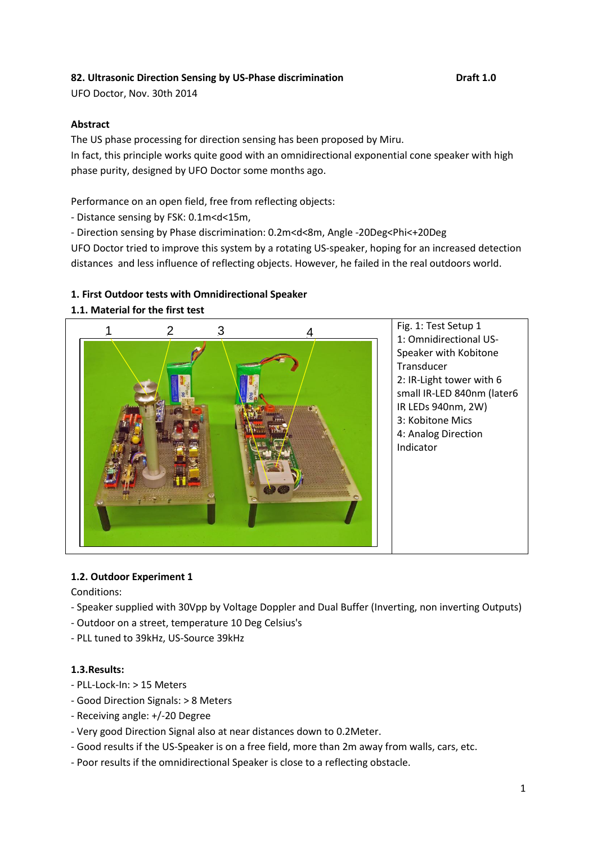## **82. Ultrasonic Direction Sensing by US-Phase discrimination Draft 1.0**

UFO Doctor, Nov. 30th 2014

#### **Abstract**

The US phase processing for direction sensing has been proposed by Miru. In fact, this principle works quite good with an omnidirectional exponential cone speaker with high phase purity, designed by UFO Doctor some months ago.

Performance on an open field, free from reflecting objects:

- Distance sensing by FSK: 0.1m<d<15m,
- Direction sensing by Phase discrimination: 0.2m<d<8m, Angle -20Deg<Phi<+20Deg

UFO Doctor tried to improve this system by a rotating US-speaker, hoping for an increased detection distances and less influence of reflecting objects. However, he failed in the real outdoors world.

## **1. First Outdoor tests with Omnidirectional Speaker**

#### **1.1. Material for the first test**



Fig. 1: Test Setup 1 1: Omnidirectional US-Speaker with Kobitone **Transducer** 2: IR-Light tower with 6 small IR-LED 840nm (later6 IR LEDs 940nm, 2W) 3: Kobitone Mics 4: Analog Direction Indicator

#### **1.2. Outdoor Experiment 1**

Conditions:

- Speaker supplied with 30Vpp by Voltage Doppler and Dual Buffer (Inverting, non inverting Outputs)
- Outdoor on a street, temperature 10 Deg Celsius's
- PLL tuned to 39kHz, US-Source 39kHz

#### **1.3.Results:**

- PLL-Lock-In: > 15 Meters
- Good Direction Signals: > 8 Meters
- Receiving angle: +/-20 Degree
- Very good Direction Signal also at near distances down to 0.2Meter.
- Good results if the US-Speaker is on a free field, more than 2m away from walls, cars, etc.
- Poor results if the omnidirectional Speaker is close to a reflecting obstacle.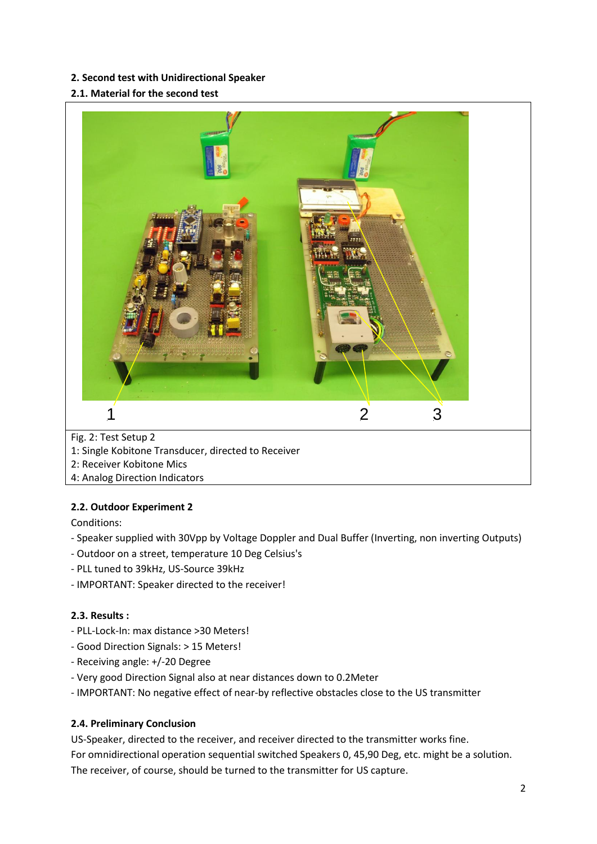#### **2. Second test with Unidirectional Speaker**

#### **2.1. Material for the second test**



#### **2.2. Outdoor Experiment 2**

Conditions:

- Speaker supplied with 30Vpp by Voltage Doppler and Dual Buffer (Inverting, non inverting Outputs)
- Outdoor on a street, temperature 10 Deg Celsius's
- PLL tuned to 39kHz, US-Source 39kHz
- IMPORTANT: Speaker directed to the receiver!

#### **2.3. Results :**

- PLL-Lock-In: max distance >30 Meters!
- Good Direction Signals: > 15 Meters!
- Receiving angle: +/-20 Degree
- Very good Direction Signal also at near distances down to 0.2Meter
- IMPORTANT: No negative effect of near-by reflective obstacles close to the US transmitter

#### **2.4. Preliminary Conclusion**

US-Speaker, directed to the receiver, and receiver directed to the transmitter works fine. For omnidirectional operation sequential switched Speakers 0, 45,90 Deg, etc. might be a solution. The receiver, of course, should be turned to the transmitter for US capture.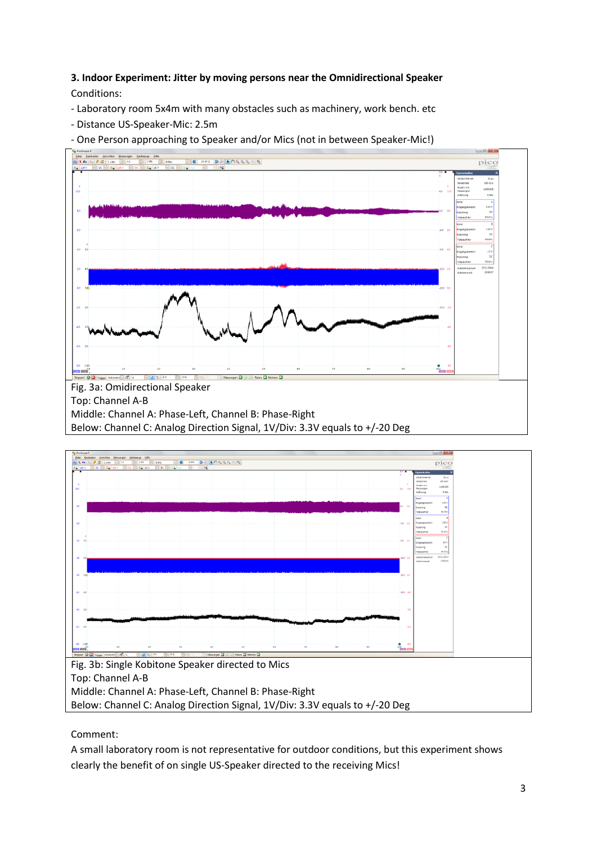## **3. Indoor Experiment: Jitter by moving persons near the Omnidirectional Speaker** Conditions:

- Laboratory room 5x4m with many obstacles such as machinery, work bench. etc
- Distance US-Speaker-Mic: 2.5m

- One Person approaching to Speaker and/or Mics (not in between Speaker-Mic!)





Comment:

A small laboratory room is not representative for outdoor conditions, but this experiment shows clearly the benefit of on single US-Speaker directed to the receiving Mics!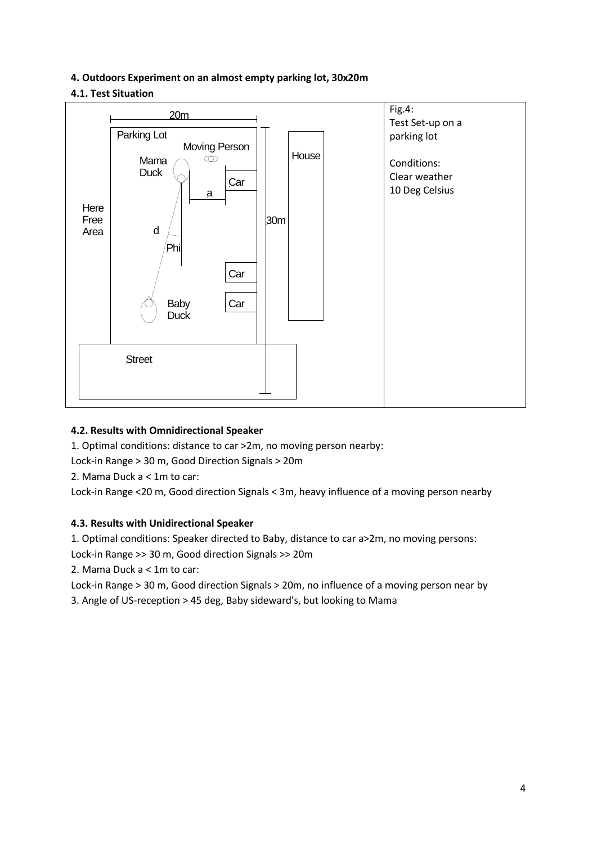### **4. Outdoors Experiment on an almost empty parking lot, 30x20m**

# **4.1. Test Situation**



#### **4.2. Results with Omnidirectional Speaker**

1. Optimal conditions: distance to car >2m, no moving person nearby:

Lock-in Range > 30 m, Good Direction Signals > 20m

2. Mama Duck a < 1m to car:

Lock-in Range <20 m, Good direction Signals < 3m, heavy influence of a moving person nearby

# **4.3. Results with Unidirectional Speaker**

1. Optimal conditions: Speaker directed to Baby, distance to car a>2m, no moving persons:

Lock-in Range >> 30 m, Good direction Signals >> 20m

2. Mama Duck a < 1m to car:

Lock-in Range > 30 m, Good direction Signals > 20m, no influence of a moving person near by

3. Angle of US-reception > 45 deg, Baby sideward's, but looking to Mama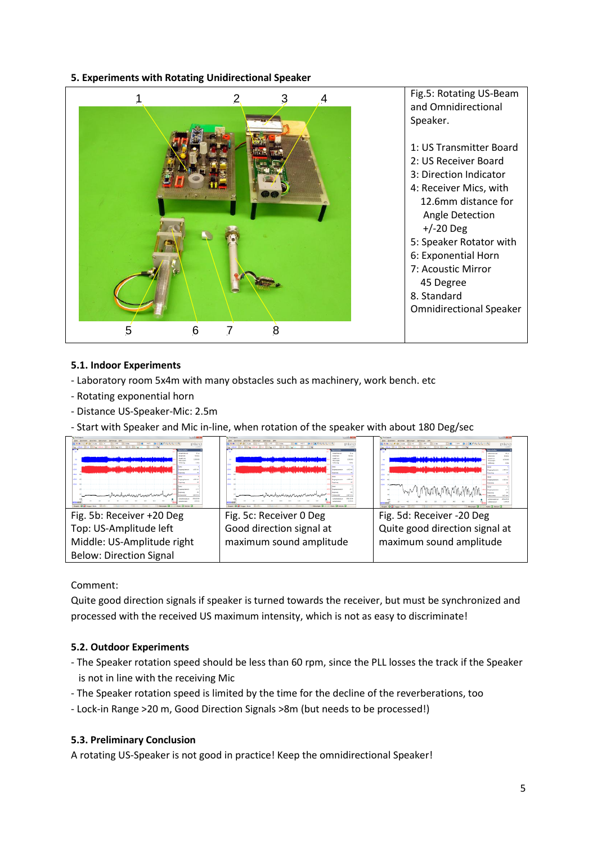**5. Experiments with Rotating Unidirectional Speaker**



# **5.1. Indoor Experiments**

- Laboratory room 5x4m with many obstacles such as machinery, work bench. etc
- Rotating exponential horn
- Distance US-Speaker-Mic: 2.5m
- Start with Speaker and Mic in-line, when rotation of the speaker with about 180 Deg/sec



Comment:

Quite good direction signals if speaker is turned towards the receiver, but must be synchronized and processed with the received US maximum intensity, which is not as easy to discriminate!

# **5.2. Outdoor Experiments**

- The Speaker rotation speed should be less than 60 rpm, since the PLL losses the track if the Speaker is not in line with the receiving Mic
- The Speaker rotation speed is limited by the time for the decline of the reverberations, too
- Lock-in Range >20 m, Good Direction Signals >8m (but needs to be processed!)

#### **5.3. Preliminary Conclusion**

A rotating US-Speaker is not good in practice! Keep the omnidirectional Speaker!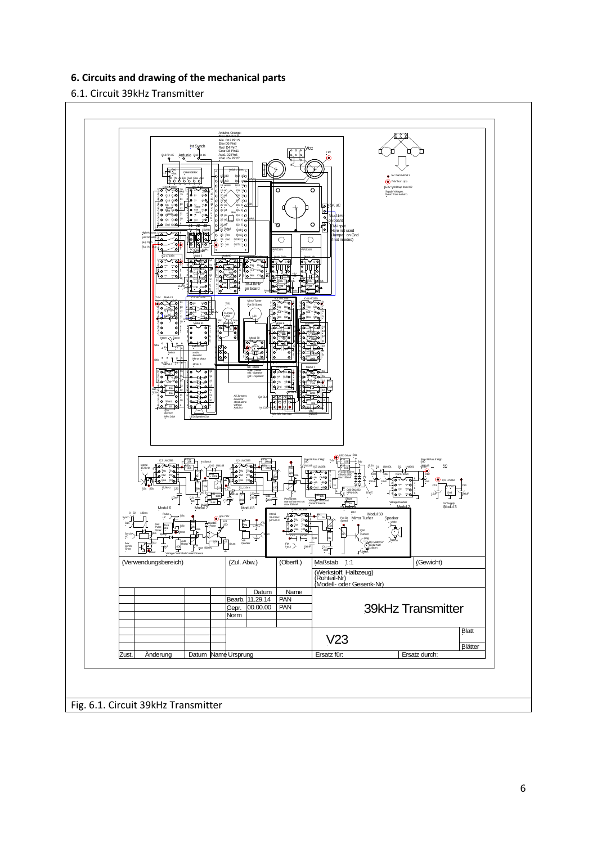# **6. Circuits and drawing of the mechanical parts**

## 6.1. Circuit 39kHz Transmitter